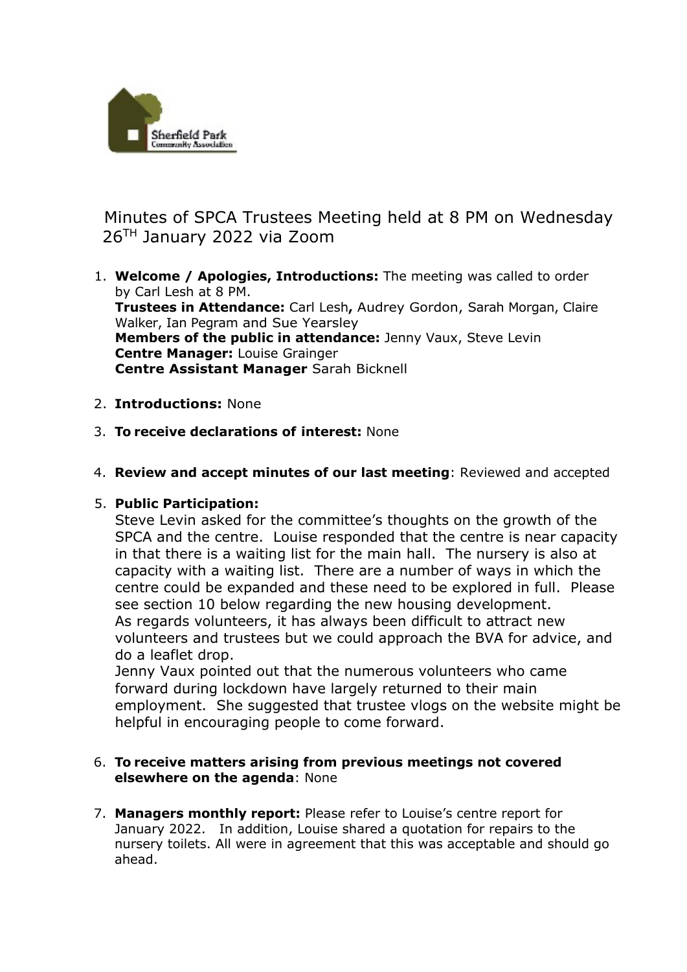

Minutes of SPCA Trustees Meeting held at 8 PM on Wednesday 26TH January 2022 via Zoom

- 1. **Welcome / Apologies, Introductions:** The meeting was called to order by Carl Lesh at 8 PM. **Trustees in Attendance:** Carl Lesh**,** Audrey Gordon, Sarah Morgan, Claire Walker, Ian Pegram and Sue Yearsley **Members of the public in attendance:** Jenny Vaux, Steve Levin **Centre Manager:** Louise Grainger **Centre Assistant Manager** Sarah Bicknell
- 2. **Introductions:** None
- 3. **To receive declarations of interest:** None
- 4. **Review and accept minutes of our last meeting**: Reviewed and accepted

## 5. **Public Participation:**

Steve Levin asked for the committee's thoughts on the growth of the SPCA and the centre. Louise responded that the centre is near capacity in that there is a waiting list for the main hall. The nursery is also at capacity with a waiting list. There are a number of ways in which the centre could be expanded and these need to be explored in full. Please see section 10 below regarding the new housing development. As regards volunteers, it has always been difficult to attract new volunteers and trustees but we could approach the BVA for advice, and do a leaflet drop.

Jenny Vaux pointed out that the numerous volunteers who came forward during lockdown have largely returned to their main employment. She suggested that trustee vlogs on the website might be helpful in encouraging people to come forward.

## 6. **To receive matters arising from previous meetings not covered elsewhere on the agenda**: None

7. **Managers monthly report:** Please refer to Louise's centre report for January 2022. In addition, Louise shared a quotation for repairs to the nursery toilets. All were in agreement that this was acceptable and should go ahead.